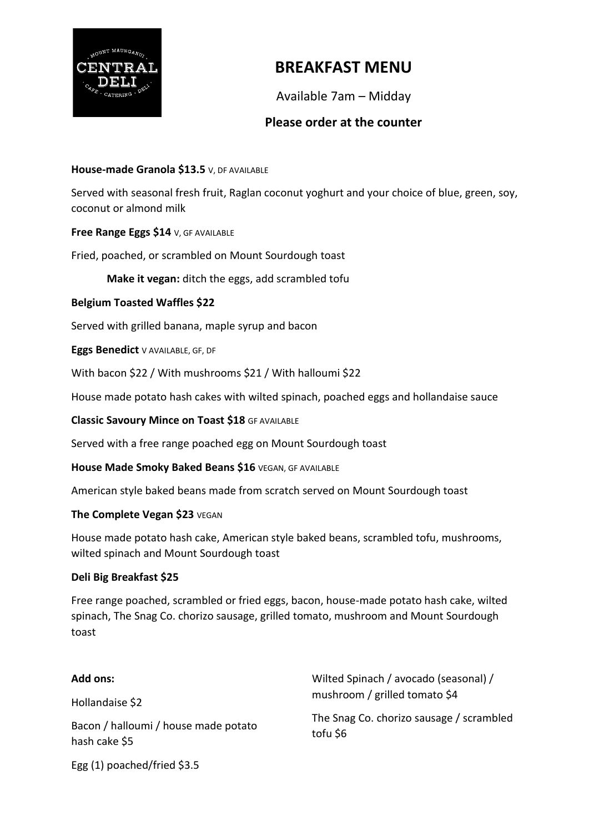

## **BREAKFAST MENU**

Available 7am – Midday

### **Please order at the counter**

#### **House-made Granola \$13.5** V, DF AVAILABLE

Served with seasonal fresh fruit, Raglan coconut yoghurt and your choice of blue, green, soy, coconut or almond milk

#### **Free Range Eggs \$14** V, GF AVAILABLE

Fried, poached, or scrambled on Mount Sourdough toast

**Make it vegan:** ditch the eggs, add scrambled tofu

#### **Belgium Toasted Waffles \$22**

Served with grilled banana, maple syrup and bacon

**Eggs Benedict** V AVAILABLE, GF, DF

With bacon \$22 / With mushrooms \$21 / With halloumi \$22

House made potato hash cakes with wilted spinach, poached eggs and hollandaise sauce

**Classic Savoury Mince on Toast \$18** GF AVAILABLE

Served with a free range poached egg on Mount Sourdough toast

**House Made Smoky Baked Beans \$16** VEGAN, GF AVAILABLE

American style baked beans made from scratch served on Mount Sourdough toast

#### **The Complete Vegan \$23** VEGAN

House made potato hash cake, American style baked beans, scrambled tofu, mushrooms, wilted spinach and Mount Sourdough toast

#### **Deli Big Breakfast \$25**

Free range poached, scrambled or fried eggs, bacon, house-made potato hash cake, wilted spinach, The Snag Co. chorizo sausage, grilled tomato, mushroom and Mount Sourdough toast

| <b>Add ons:</b>                                       | Wilted Spinach / avocado (seasonal) /<br>mushroom / grilled tomato \$4 |
|-------------------------------------------------------|------------------------------------------------------------------------|
| Hollandaise \$2                                       |                                                                        |
| Bacon / halloumi / house made potato<br>hash cake \$5 | The Snag Co. chorizo sausage / scrambled<br>tofu \$6                   |
|                                                       |                                                                        |

Egg (1) poached/fried \$3.5